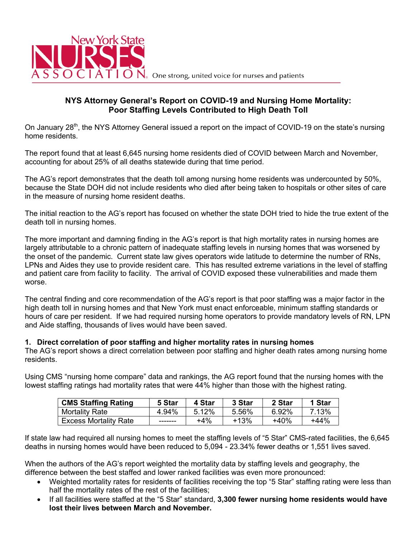

## **NYS Attorney General's Report on COVID-19 and Nursing Home Mortality: Poor Staffing Levels Contributed to High Death Toll**

On January 28<sup>th</sup>, the NYS Attorney General issued a report on the impact of COVID-19 on the state's nursing home residents.

The report found that at least 6,645 nursing home residents died of COVID between March and November, accounting for about 25% of all deaths statewide during that time period.

The AG's report demonstrates that the death toll among nursing home residents was undercounted by 50%, because the State DOH did not include residents who died after being taken to hospitals or other sites of care in the measure of nursing home resident deaths.

The initial reaction to the AG's report has focused on whether the state DOH tried to hide the true extent of the death toll in nursing homes.

The more important and damning finding in the AG's report is that high mortality rates in nursing homes are largely attributable to a chronic pattern of inadequate staffing levels in nursing homes that was worsened by the onset of the pandemic. Current state law gives operators wide latitude to determine the number of RNs, LPNs and Aides they use to provide resident care. This has resulted extreme variations in the level of staffing and patient care from facility to facility. The arrival of COVID exposed these vulnerabilities and made them worse.

The central finding and core recommendation of the AG's report is that poor staffing was a major factor in the high death toll in nursing homes and that New York must enact enforceable, minimum staffing standards or hours of care per resident. If we had required nursing home operators to provide mandatory levels of RN, LPN and Aide staffing, thousands of lives would have been saved.

#### **1. Direct correlation of poor staffing and higher mortality rates in nursing homes**

The AG's report shows a direct correlation between poor staffing and higher death rates among nursing home residents.

Using CMS "nursing home compare" data and rankings, the AG report found that the nursing homes with the lowest staffing ratings had mortality rates that were 44% higher than those with the highest rating.

| <b>CMS Staffing Rating</b>   | 5 Star  | 4 Star   | 3 Star | 2 Star | 1 Star |
|------------------------------|---------|----------|--------|--------|--------|
| <b>Mortality Rate</b>        | 4.94%   | $5.12\%$ | 5.56%  | 6.92%  | 7.13%  |
| <b>Excess Mortality Rate</b> | ------- | $+4\%$   | $+13%$ | $+40%$ | $+44%$ |

If state law had required all nursing homes to meet the staffing levels of "5 Star" CMS-rated facilities, the 6,645 deaths in nursing homes would have been reduced to 5,094 - 23.34% fewer deaths or 1,551 lives saved.

When the authors of the AG's report weighted the mortality data by staffing levels and geography, the difference between the best staffed and lower ranked facilities was even more pronounced:

- Weighted mortality rates for residents of facilities receiving the top "5 Star" staffing rating were less than half the mortality rates of the rest of the facilities;
- If all facilities were staffed at the "5 Star" standard, **3,300 fewer nursing home residents would have lost their lives between March and November.**